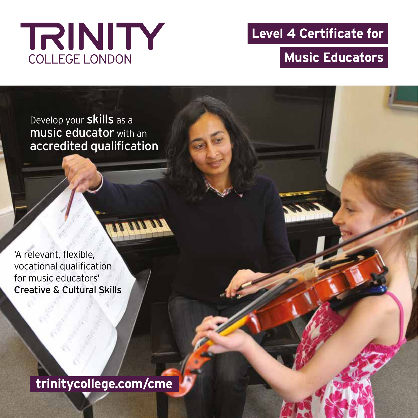

**Level 4 Certificate for** 

**Music Educators** 

Develop your **Skills** as a music educator with an accredited qualification

'A relevant, flexible, vocational qualification for music educators' Creative & Cultural Skills

**[trinitycollege.com/cme](http://trinitycollege.com/cme)**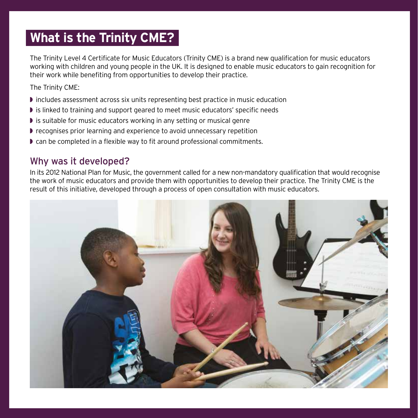# **What is the Trinity CME?**

The Trinity Level 4 Certificate for Music Educators (Trinity CME) is a brand new qualification for music educators working with children and young people in the UK. It is designed to enable music educators to gain recognition for their work while benefiting from opportunities to develop their practice.

The Trinity CME:

- ◗ includes assessment across six units representing best practice in music education
- ◗ is linked to training and support geared to meet music educators' specific needs
- ◗ is suitable for music educators working in any setting or musical genre
- ◗ recognises prior learning and experience to avoid unnecessary repetition
- ◗ can be completed in a flexible way to fit around professional commitments.

#### Why was it developed?

In its 2012 National Plan for Music, the government called for a new non-mandatory qualification that would recognise the work of music educators and provide them with opportunities to develop their practice. The Trinity CME is the result of this initiative, developed through a process of open consultation with music educators.

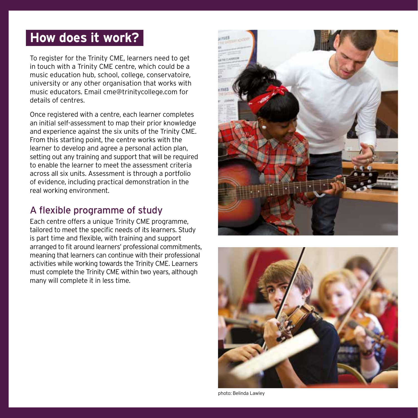### **How does it work?**

To register for the Trinity CME, learners need to get in touch with a Trinity CME centre, which could be a music education hub, school, college, conservatoire, university or any other organisation that works with music educators. Email [cme@trinitycollege.com](mailto:cme%40trinitycollege.com?subject=) for details of centres.

Once registered with a centre, each learner completes an initial self-assessment to map their prior knowledge and experience against the six units of the Trinity CME. From this starting point, the centre works with the learner to develop and agree a personal action plan, setting out any training and support that will be required to enable the learner to meet the assessment criteria across all six units. Assessment is through a portfolio of evidence, including practical demonstration in the real working environment.

#### A flexible programme of study

Each centre offers a unique Trinity CME programme, tailored to meet the specific needs of its learners. Study is part time and flexible, with training and support arranged to fit around learners' professional commitments, meaning that learners can continue with their professional activities while working towards the Trinity CME. Learners must complete the Trinity CME within two years, although many will complete it in less time.





photo: Belinda Lawley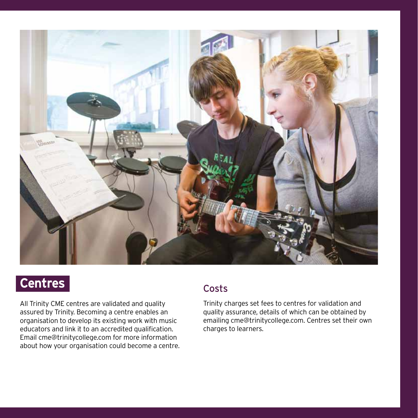

# **Centres**

All Trinity CME centres are validated and quality assured by Trinity. Becoming a centre enables an organisation to develop its existing work with music educators and link it to an accredited qualification. Email [cme@trinitycollege.com](mailto:cme%40trinitycollege.com?subject=) for more information about how your organisation could become a centre.

#### Costs

Trinity charges set fees to centres for validation and quality assurance, details of which can be obtained by emailing [cme@trinitycollege.com](mailto:cme%40trinitycollege.com?subject=). Centres set their own charges to learners.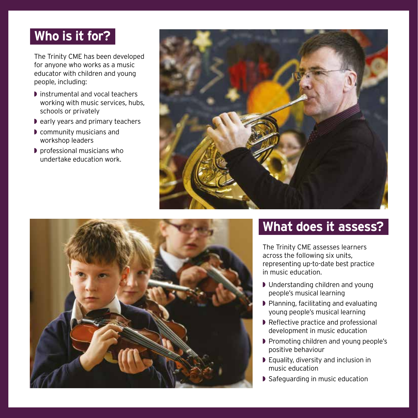### **Who is it for?**

The Trinity CME has been developed for anyone who works as a music educator with children and young people, including:

- ◗ instrumental and vocal teachers working with music services, hubs, schools or privately
- ◗ early years and primary teachers
- ◗ community musicians and workshop leaders
- ◗ professional musicians who undertake education work.





## **What does it assess?**

The Trinity CME assesses learners across the following six units, representing up-to-date best practice in music education.

- ◗ Understanding children and young people's musical learning
- ◗ Planning, facilitating and evaluating young people's musical learning
- ◗ Reflective practice and professional development in music education
- ◗ Promoting children and young people's positive behaviour
- ◗ Equality, diversity and inclusion in music education
- ◗ Safeguarding in music education